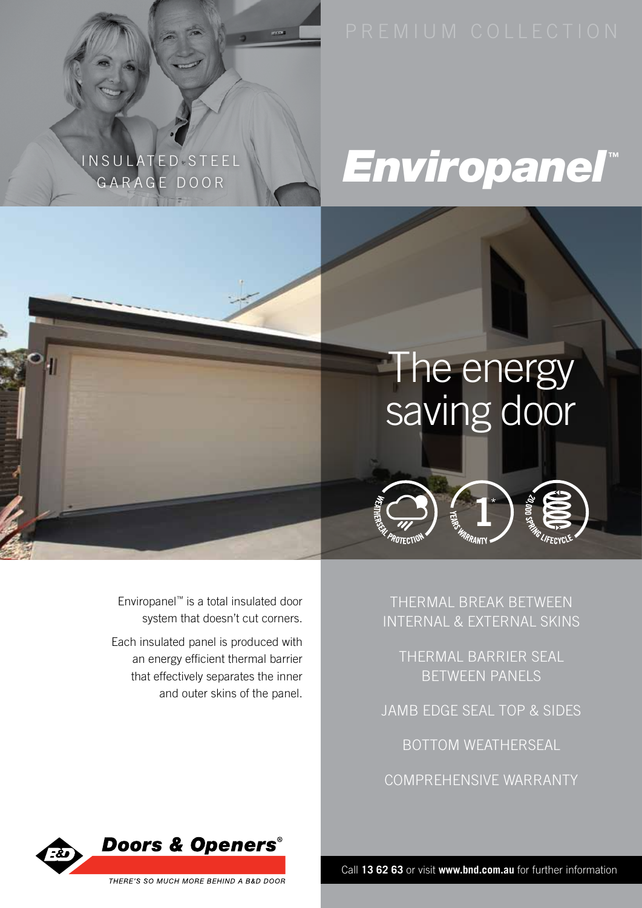### NSULATED STEEL GARAGE DOOR

## *Enviropanel***™**

## The energy saving door

Enviropanel™ is a total insulated door system that doesn't cut corners.

Each insulated panel is produced with an energy efficient thermal barrier that effectively separates the inner and outer skins of the panel.

thermal break between internal & external skins

thermal barrier seal between panels

jamb edge seal top & sides

bottom weatherseal

comprehensive warranty



Call **13 62 63** or visit **www.bnd.com.au** for further information

THERE'S SO MUCH MORE BEHIND A B&D DOOR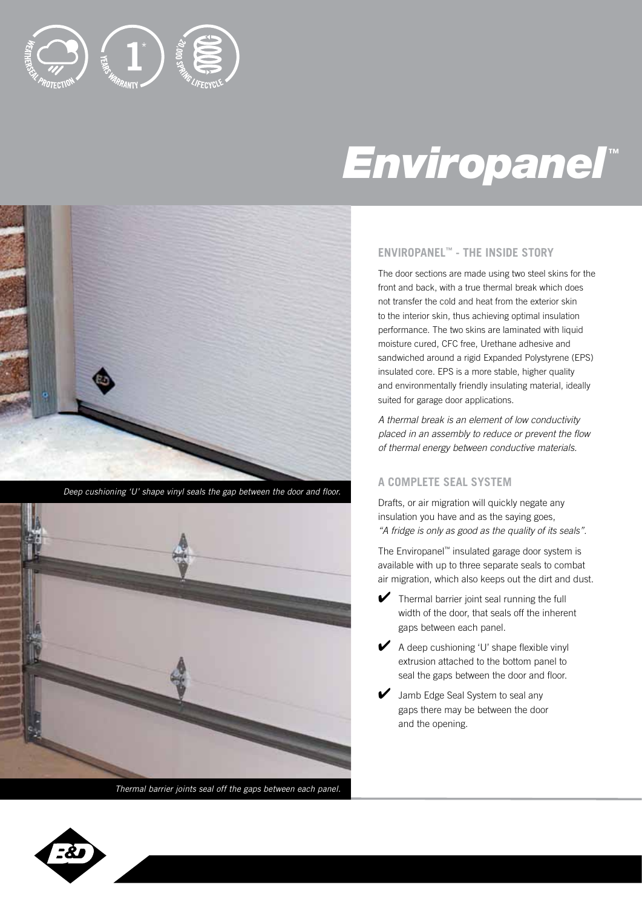

## *Enviropanel***™**



*Deep cushioning 'U' shape vinyl seals the gap between the door and floor.*



*Thermal barrier joints seal off the gaps between each panel.*

#### **Enviropanel™ - the inside story**

The door sections are made using two steel skins for the front and back, with a true thermal break which does not transfer the cold and heat from the exterior skin to the interior skin, thus achieving optimal insulation performance. The two skins are laminated with liquid moisture cured, CFC free, Urethane adhesive and sandwiched around a rigid Expanded Polystyrene (EPS) insulated core. EPS is a more stable, higher quality and environmentally friendly insulating material, ideally suited for garage door applications.

*A thermal break is an element of low conductivity placed in an assembly to reduce or prevent the flow of thermal energy between conductive materials.*

#### **A complete seal system**

Drafts, or air migration will quickly negate any insulation you have and as the saying goes, *"A fridge is only as good as the quality of its seals".*

The Enviropanel™ insulated garage door system is available with up to three separate seals to combat air migration, which also keeps out the dirt and dust.

- $\blacktriangleright$  Thermal barrier joint seal running the full width of the door, that seals off the inherent gaps between each panel.
- $\blacktriangleright$  A deep cushioning 'U' shape flexible vinyl extrusion attached to the bottom panel to seal the gaps between the door and floor.
- Jamb Edge Seal System to seal any gaps there may be between the door and the opening.

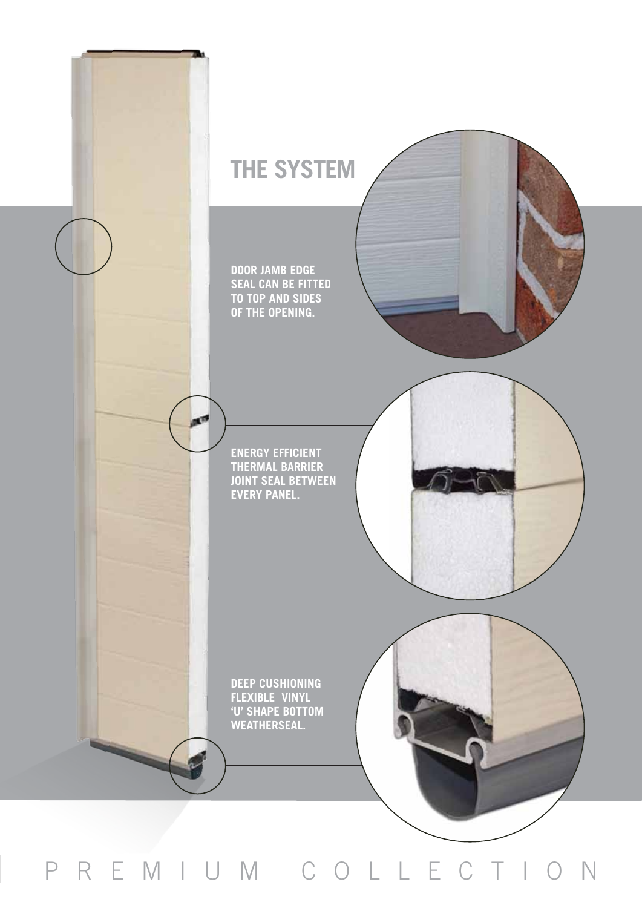

p r e mium coll e ction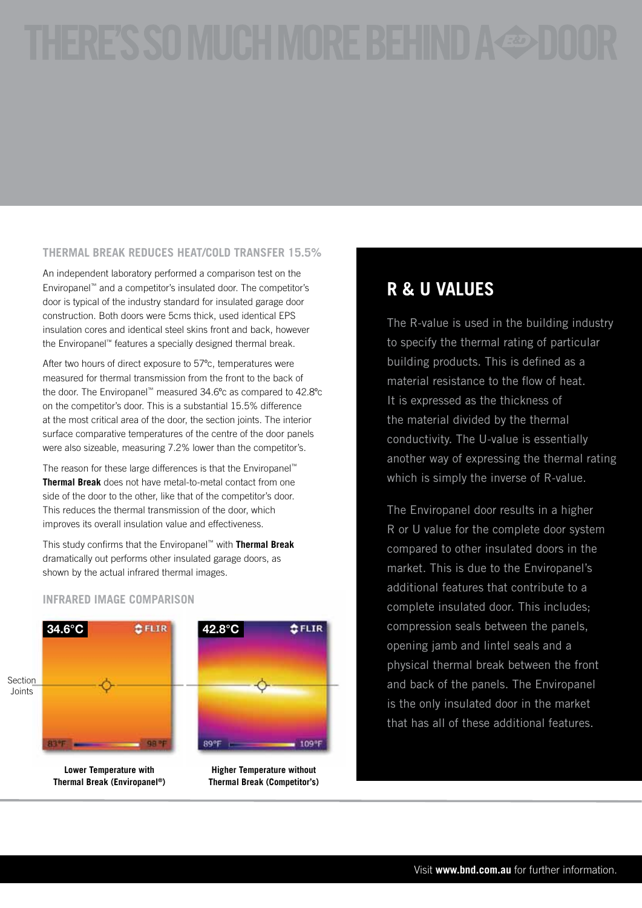#### **THERMAL BREAK REDUCES HEAT/COLD TRANSFER 15.5%**

An independent laboratory performed a comparison test on the Enviropanel™ and a competitor's insulated door. The competitor's door is typical of the industry standard for insulated garage door construction. Both doors were 5cms thick, used identical EPS insulation cores and identical steel skins front and back, however the Enviropanel™ features a specially designed thermal break.

After two hours of direct exposure to 57<sup>o</sup>c, temperatures were measured for thermal transmission from the front to the back of the door. The Enviropanel™ measured 34.6ºc as compared to 42.8ºc on the competitor's door. This is a substantial 15.5% difference at the most critical area of the door, the section joints. The interior surface comparative temperatures of the centre of the door panels were also sizeable, measuring 7.2% lower than the competitor's.

The reason for these large differences is that the Enviropanel™ **Thermal Break** does not have metal-to-metal contact from one side of the door to the other, like that of the competitor's door. This reduces the thermal transmission of the door, which improves its overall insulation value and effectiveness.

This study confirms that the Enviropanel™ with **Thermal Break**  dramatically out performs other insulated garage doors, as shown by the actual infrared thermal images.

#### **Infrared Image Comparison**



### **R & U Values**

The R-value is used in the building industry to specify the thermal rating of particular building products. This is defined as a material resistance to the flow of heat. It is expressed as the thickness of the material divided by the thermal conductivity. The U-value is essentially another way of expressing the thermal rating which is simply the inverse of R-value.

The Enviropanel door results in a higher R or U value for the complete door system compared to other insulated doors in the market. This is due to the Enviropanel's additional features that contribute to a complete insulated door. This includes; compression seals between the panels, opening jamb and lintel seals and a physical thermal break between the front and back of the panels. The Enviropanel is the only insulated door in the market that has all of these additional features.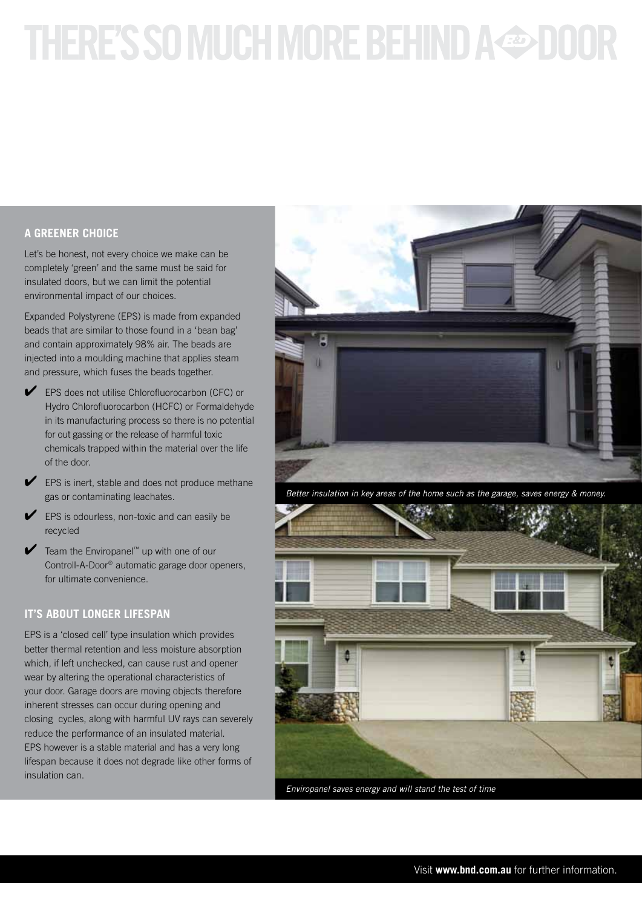# THERE'S SO MUCH MORE BEHIND A & DOO

### **A greener choice**

Let's be honest, not every choice we make can be completely 'green' and the same must be said for insulated doors, but we can limit the potential environmental impact of our choices.

Expanded Polystyrene (EPS) is made from expanded beads that are similar to those found in a 'bean bag' and contain approximately 98% air. The beads are injected into a moulding machine that applies steam and pressure, which fuses the beads together.

- EPS does not utilise Chlorofluorocarbon (CFC) or Hydro Chlorofluorocarbon (HCFC) or Formaldehyde in its manufacturing process so there is no potential for out gassing or the release of harmful toxic chemicals trapped within the material over the life of the door.
- $\blacktriangleright$  EPS is inert, stable and does not produce methane gas or contaminating leachates.
- EPS is odourless, non-toxic and can easily be recycled
- ✔ Team the Enviropanel™ up with one of our Controll-A-Door® automatic garage door openers, for ultimate convenience.

#### **it's about longer lifespan**

EPS is a 'closed cell' type insulation which provides better thermal retention and less moisture absorption which, if left unchecked, can cause rust and opener wear by altering the operational characteristics of your door. Garage doors are moving objects therefore inherent stresses can occur during opening and closing cycles, along with harmful UV rays can severely reduce the performance of an insulated material. EPS however is a stable material and has a very long lifespan because it does not degrade like other forms of insulation can.



*Better insulation in key areas of the home such as the garage, saves energy & money.*



*Enviropanel saves energy and will stand the test of time*